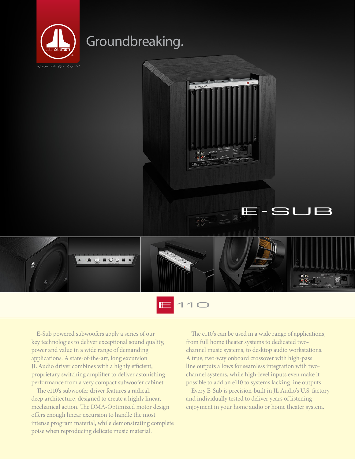

## Groundbreaking.





 $110$ E

E-Sub powered subwoofers apply a series of our key technologies to deliver exceptional sound quality, power and value in a wide range of demanding applications. A state-of-the-art, long excursion JL Audio driver combines with a highly efficient, proprietary switching amplifier to deliver astonishing performance from a very compact subwoofer cabinet.

The e110's subwoofer driver features a radical, deep architecture, designed to create a highly linear, mechanical action. The DMA-Optimized motor design offers enough linear excursion to handle the most intense program material, while demonstrating complete poise when reproducing delicate music material.

The e110's can be used in a wide range of applications, from full home theater systems to dedicated twochannel music systems, to desktop audio workstations. A true, two-way onboard crossover with high-pass line outputs allows for seamless integration with twochannel systems, while high-level inputs even make it possible to add an e110 to systems lacking line outputs.

Every E-Sub is precision-built in JL Audio's U.S. factory and individually tested to deliver years of listening enjoyment in your home audio or home theater system.